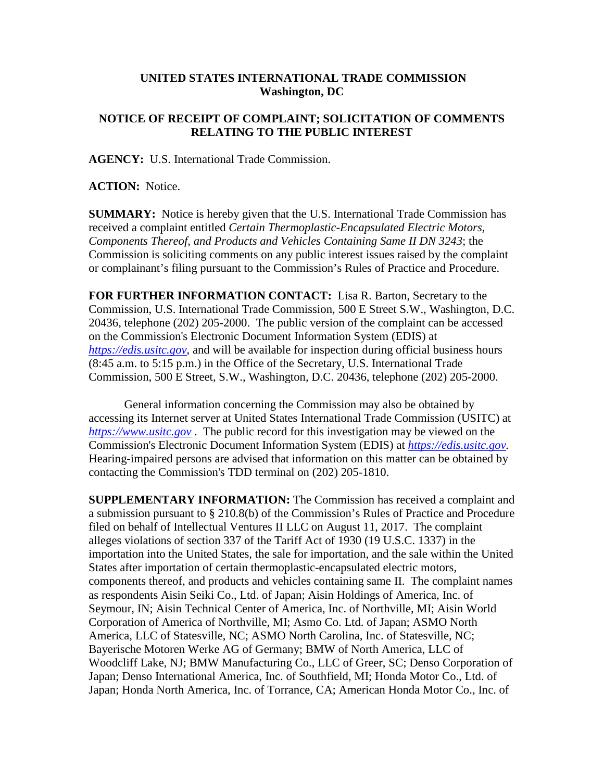## **UNITED STATES INTERNATIONAL TRADE COMMISSION Washington, DC**

## **NOTICE OF RECEIPT OF COMPLAINT; SOLICITATION OF COMMENTS RELATING TO THE PUBLIC INTEREST**

**AGENCY:** U.S. International Trade Commission.

**ACTION:** Notice.

**SUMMARY:** Notice is hereby given that the U.S. International Trade Commission has received a complaint entitled *Certain Thermoplastic-Encapsulated Electric Motors, Components Thereof, and Products and Vehicles Containing Same II DN 3243*; the Commission is soliciting comments on any public interest issues raised by the complaint or complainant's filing pursuant to the Commission's Rules of Practice and Procedure.

**FOR FURTHER INFORMATION CONTACT:** Lisa R. Barton, Secretary to the Commission, U.S. International Trade Commission, 500 E Street S.W., Washington, D.C. 20436, telephone (202) 205-2000. The public version of the complaint can be accessed on the Commission's Electronic Document Information System (EDIS) at *[https://edis.usitc.gov](https://edis.usitc.gov/)*, and will be available for inspection during official business hours (8:45 a.m. to 5:15 p.m.) in the Office of the Secretary, U.S. International Trade Commission, 500 E Street, S.W., Washington, D.C. 20436, telephone (202) 205-2000.

General information concerning the Commission may also be obtained by accessing its Internet server at United States International Trade Commission (USITC) at *[https://www.usitc.gov](https://www.usitc.gov/)* . The public record for this investigation may be viewed on the Commission's Electronic Document Information System (EDIS) at *[https://edis.usitc.gov.](https://edis.usitc.gov/)* Hearing-impaired persons are advised that information on this matter can be obtained by contacting the Commission's TDD terminal on (202) 205-1810.

**SUPPLEMENTARY INFORMATION:** The Commission has received a complaint and a submission pursuant to § 210.8(b) of the Commission's Rules of Practice and Procedure filed on behalf of Intellectual Ventures II LLC on August 11, 2017. The complaint alleges violations of section 337 of the Tariff Act of 1930 (19 U.S.C. 1337) in the importation into the United States, the sale for importation, and the sale within the United States after importation of certain thermoplastic-encapsulated electric motors, components thereof, and products and vehicles containing same II. The complaint names as respondents Aisin Seiki Co., Ltd. of Japan; Aisin Holdings of America, Inc. of Seymour, IN; Aisin Technical Center of America, Inc. of Northville, MI; Aisin World Corporation of America of Northville, MI; Asmo Co. Ltd. of Japan; ASMO North America, LLC of Statesville, NC; ASMO North Carolina, Inc. of Statesville, NC; Bayerische Motoren Werke AG of Germany; BMW of North America, LLC of Woodcliff Lake, NJ; BMW Manufacturing Co., LLC of Greer, SC; Denso Corporation of Japan; Denso International America, Inc. of Southfield, MI; Honda Motor Co., Ltd. of Japan; Honda North America, Inc. of Torrance, CA; American Honda Motor Co., Inc. of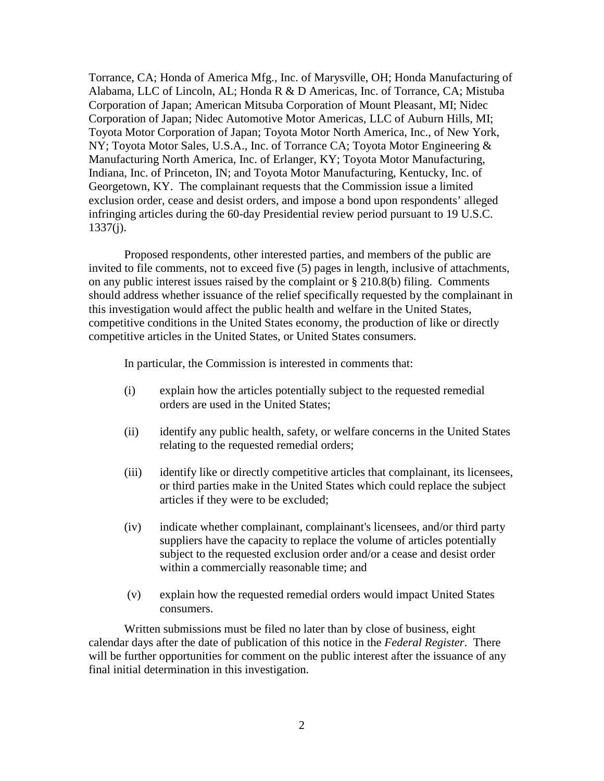Torrance, CA; Honda of America Mfg., Inc. of Marysville, OH; Honda Manufacturing of Alabama, LLC of Lincoln, AL; Honda R & D Americas, Inc. of Torrance, CA; Mistuba Corporation of Japan; American Mitsuba Corporation of Mount Pleasant, MI; Nidec Corporation of Japan; Nidec Automotive Motor Americas, LLC of Auburn Hills, MI; Toyota Motor Corporation of Japan; Toyota Motor North America, Inc., of New York, NY; Toyota Motor Sales, U.S.A., Inc. of Torrance CA; Toyota Motor Engineering & Manufacturing North America, Inc. of Erlanger, KY; Toyota Motor Manufacturing, Indiana, Inc. of Princeton, IN; and Toyota Motor Manufacturing, Kentucky, Inc. of Georgetown, KY. The complainant requests that the Commission issue a limited exclusion order, cease and desist orders, and impose a bond upon respondents' alleged infringing articles during the 60-day Presidential review period pursuant to 19 U.S.C.  $1337(j)$ .

Proposed respondents, other interested parties, and members of the public are invited to file comments, not to exceed five (5) pages in length, inclusive of attachments, on any public interest issues raised by the complaint or § 210.8(b) filing. Comments should address whether issuance of the relief specifically requested by the complainant in this investigation would affect the public health and welfare in the United States, competitive conditions in the United States economy, the production of like or directly competitive articles in the United States, or United States consumers.

In particular, the Commission is interested in comments that:

- (i) explain how the articles potentially subject to the requested remedial orders are used in the United States;
- (ii) identify any public health, safety, or welfare concerns in the United States relating to the requested remedial orders;
- (iii) identify like or directly competitive articles that complainant, its licensees, or third parties make in the United States which could replace the subject articles if they were to be excluded;
- (iv) indicate whether complainant, complainant's licensees, and/or third party suppliers have the capacity to replace the volume of articles potentially subject to the requested exclusion order and/or a cease and desist order within a commercially reasonable time; and
- (v) explain how the requested remedial orders would impact United States consumers.

Written submissions must be filed no later than by close of business, eight calendar days after the date of publication of this notice in the *Federal Register*. There will be further opportunities for comment on the public interest after the issuance of any final initial determination in this investigation.